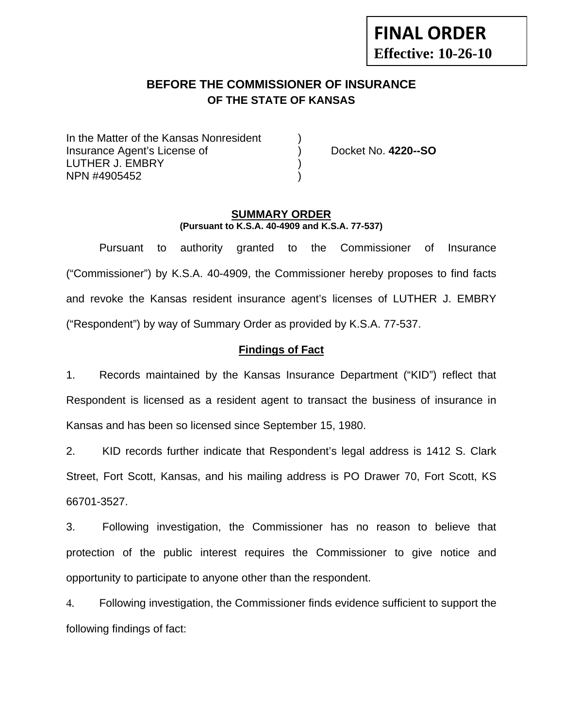# **FINAL ORDER Effective: 10-26-10**

# **BEFORE THE COMMISSIONER OF INSURANCE OF THE STATE OF KANSAS**

In the Matter of the Kansas Nonresident Insurance Agent's License of ) Docket No. **4220--SO** LUTHER J. EMBRY (1999) NPN #4905452 )

#### **SUMMARY ORDER (Pursuant to K.S.A. 40-4909 and K.S.A. 77-537)**

 Pursuant to authority granted to the Commissioner of Insurance ("Commissioner") by K.S.A. 40-4909, the Commissioner hereby proposes to find facts and revoke the Kansas resident insurance agent's licenses of LUTHER J. EMBRY ("Respondent") by way of Summary Order as provided by K.S.A. 77-537.

#### **Findings of Fact**

1. Records maintained by the Kansas Insurance Department ("KID") reflect that Respondent is licensed as a resident agent to transact the business of insurance in Kansas and has been so licensed since September 15, 1980.

2. KID records further indicate that Respondent's legal address is 1412 S. Clark Street, Fort Scott, Kansas, and his mailing address is PO Drawer 70, Fort Scott, KS 66701-3527.

3. Following investigation, the Commissioner has no reason to believe that protection of the public interest requires the Commissioner to give notice and opportunity to participate to anyone other than the respondent.

4. Following investigation, the Commissioner finds evidence sufficient to support the following findings of fact: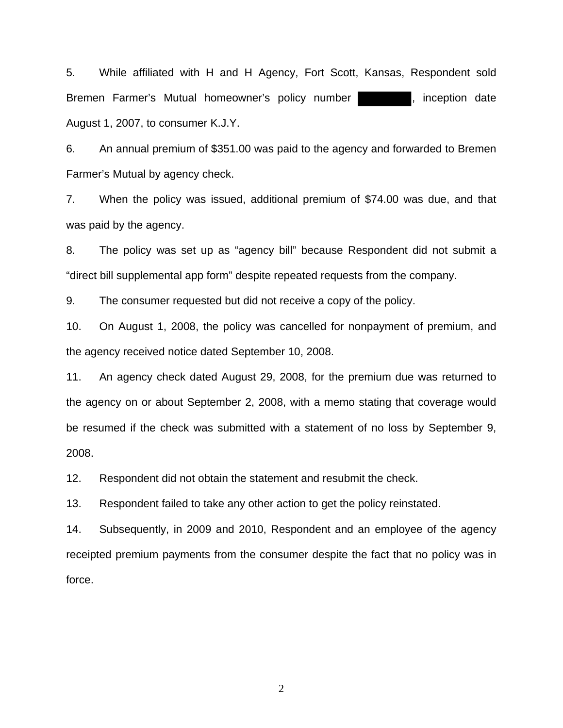5. While affiliated with H and H Agency, Fort Scott, Kansas, Respondent sold Bremen Farmer's Mutual homeowner's policy number | and inception date August 1, 2007, to consumer K.J.Y.

6. An annual premium of \$351.00 was paid to the agency and forwarded to Bremen Farmer's Mutual by agency check.

7. When the policy was issued, additional premium of \$74.00 was due, and that was paid by the agency.

8. The policy was set up as "agency bill" because Respondent did not submit a "direct bill supplemental app form" despite repeated requests from the company.

9. The consumer requested but did not receive a copy of the policy.

10. On August 1, 2008, the policy was cancelled for nonpayment of premium, and the agency received notice dated September 10, 2008.

11. An agency check dated August 29, 2008, for the premium due was returned to the agency on or about September 2, 2008, with a memo stating that coverage would be resumed if the check was submitted with a statement of no loss by September 9, 2008.

12. Respondent did not obtain the statement and resubmit the check.

13. Respondent failed to take any other action to get the policy reinstated.

14. Subsequently, in 2009 and 2010, Respondent and an employee of the agency receipted premium payments from the consumer despite the fact that no policy was in force.

2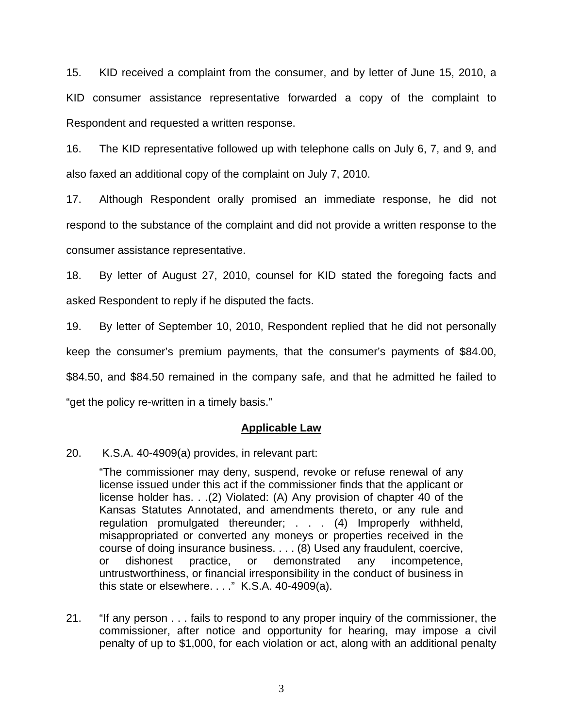15. KID received a complaint from the consumer, and by letter of June 15, 2010, a KID consumer assistance representative forwarded a copy of the complaint to Respondent and requested a written response.

16. The KID representative followed up with telephone calls on July 6, 7, and 9, and also faxed an additional copy of the complaint on July 7, 2010.

17. Although Respondent orally promised an immediate response, he did not respond to the substance of the complaint and did not provide a written response to the consumer assistance representative.

18. By letter of August 27, 2010, counsel for KID stated the foregoing facts and asked Respondent to reply if he disputed the facts.

19. By letter of September 10, 2010, Respondent replied that he did not personally

keep the consumer's premium payments, that the consumer's payments of \$84.00,

\$84.50, and \$84.50 remained in the company safe, and that he admitted he failed to

"get the policy re-written in a timely basis."

#### **Applicable Law**

20. K.S.A. 40-4909(a) provides, in relevant part:

"The commissioner may deny, suspend, revoke or refuse renewal of any license issued under this act if the commissioner finds that the applicant or license holder has. . .(2) Violated: (A) Any provision of chapter 40 of the Kansas Statutes Annotated, and amendments thereto, or any rule and regulation promulgated thereunder; . . . (4) Improperly withheld, misappropriated or converted any moneys or properties received in the course of doing insurance business. . . . (8) Used any fraudulent, coercive, or dishonest practice, or demonstrated any incompetence, untrustworthiness, or financial irresponsibility in the conduct of business in this state or elsewhere. . . ." K.S.A. 40-4909(a).

21. "If any person . . . fails to respond to any proper inquiry of the commissioner, the commissioner, after notice and opportunity for hearing, may impose a civil penalty of up to \$1,000, for each violation or act, along with an additional penalty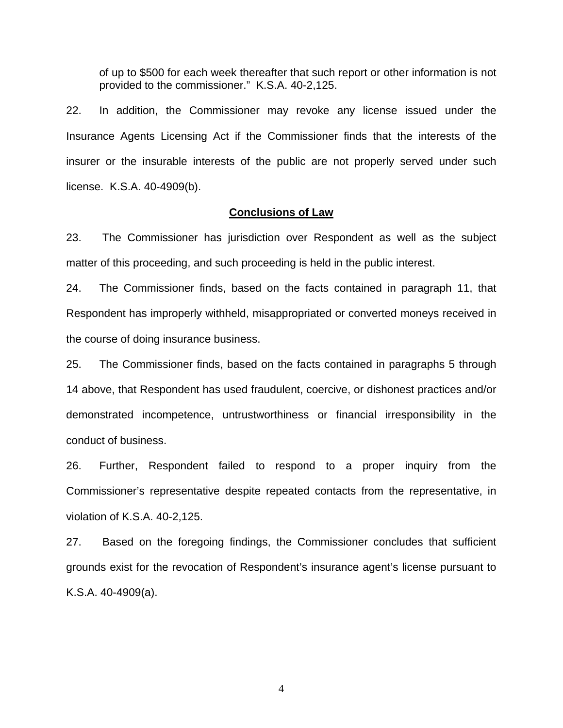of up to \$500 for each week thereafter that such report or other information is not provided to the commissioner." K.S.A. 40-2,125.

22. In addition, the Commissioner may revoke any license issued under the Insurance Agents Licensing Act if the Commissioner finds that the interests of the insurer or the insurable interests of the public are not properly served under such license. K.S.A. 40-4909(b).

#### **Conclusions of Law**

23. The Commissioner has jurisdiction over Respondent as well as the subject matter of this proceeding, and such proceeding is held in the public interest.

24. The Commissioner finds, based on the facts contained in paragraph 11, that Respondent has improperly withheld, misappropriated or converted moneys received in the course of doing insurance business.

25. The Commissioner finds, based on the facts contained in paragraphs 5 through 14 above, that Respondent has used fraudulent, coercive, or dishonest practices and/or demonstrated incompetence, untrustworthiness or financial irresponsibility in the conduct of business.

26. Further, Respondent failed to respond to a proper inquiry from the Commissioner's representative despite repeated contacts from the representative, in violation of K.S.A. 40-2,125.

27. Based on the foregoing findings, the Commissioner concludes that sufficient grounds exist for the revocation of Respondent's insurance agent's license pursuant to K.S.A. 40-4909(a).

4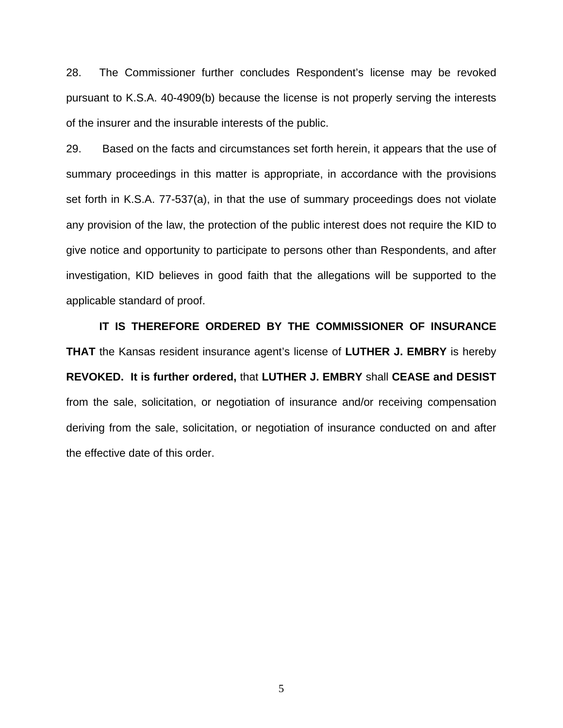28. The Commissioner further concludes Respondent's license may be revoked pursuant to K.S.A. 40-4909(b) because the license is not properly serving the interests of the insurer and the insurable interests of the public.

29. Based on the facts and circumstances set forth herein, it appears that the use of summary proceedings in this matter is appropriate, in accordance with the provisions set forth in K.S.A. 77-537(a), in that the use of summary proceedings does not violate any provision of the law, the protection of the public interest does not require the KID to give notice and opportunity to participate to persons other than Respondents, and after investigation, KID believes in good faith that the allegations will be supported to the applicable standard of proof.

 **IT IS THEREFORE ORDERED BY THE COMMISSIONER OF INSURANCE THAT** the Kansas resident insurance agent's license of **LUTHER J. EMBRY** is hereby **REVOKED. It is further ordered,** that **LUTHER J. EMBRY** shall **CEASE and DESIST** from the sale, solicitation, or negotiation of insurance and/or receiving compensation deriving from the sale, solicitation, or negotiation of insurance conducted on and after the effective date of this order.

5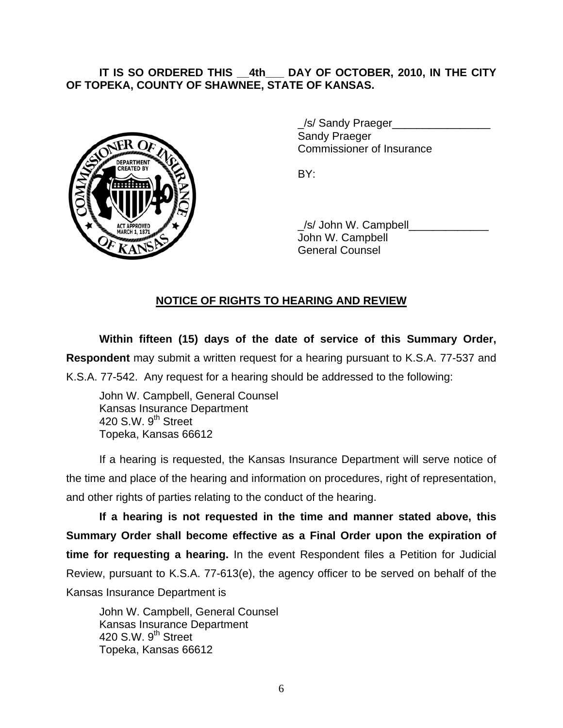## **IT IS SO ORDERED THIS \_\_4th\_\_\_ DAY OF OCTOBER, 2010, IN THE CITY OF TOPEKA, COUNTY OF SHAWNEE, STATE OF KANSAS.**



/s/ Sandy Praeger Sandy Praeger Commissioner of Insurance

 \_/s/ John W. Campbell\_\_\_\_\_\_\_\_\_\_\_\_\_ John W. Campbell General Counsel

## **NOTICE OF RIGHTS TO HEARING AND REVIEW**

**Within fifteen (15) days of the date of service of this Summary Order, Respondent** may submit a written request for a hearing pursuant to K.S.A. 77-537 and K.S.A. 77-542. Any request for a hearing should be addressed to the following:

 John W. Campbell, General Counsel Kansas Insurance Department 420 S.W.  $9<sup>th</sup>$  Street Topeka, Kansas 66612

If a hearing is requested, the Kansas Insurance Department will serve notice of the time and place of the hearing and information on procedures, right of representation, and other rights of parties relating to the conduct of the hearing.

**If a hearing is not requested in the time and manner stated above, this Summary Order shall become effective as a Final Order upon the expiration of time for requesting a hearing.** In the event Respondent files a Petition for Judicial Review, pursuant to K.S.A. 77-613(e), the agency officer to be served on behalf of the Kansas Insurance Department is

 John W. Campbell, General Counsel Kansas Insurance Department 420 S.W. 9<sup>th</sup> Street Topeka, Kansas 66612